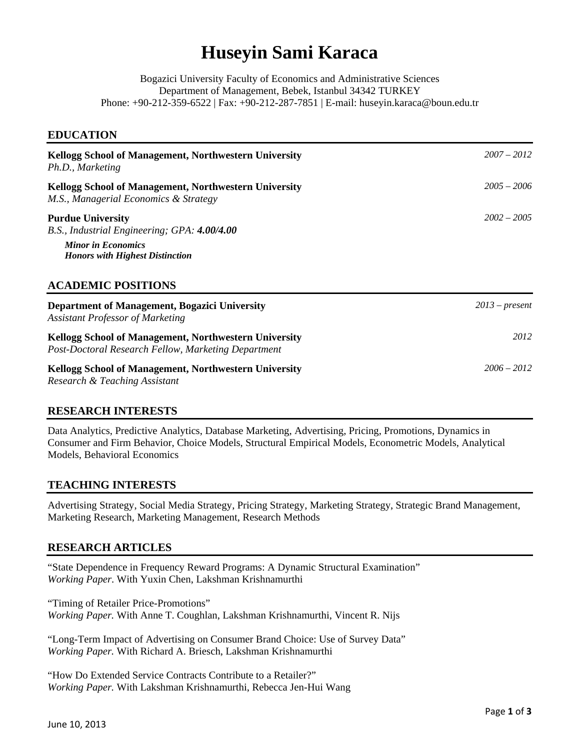# **Huseyin Sami Karaca**

Bogazici University Faculty of Economics and Administrative Sciences Department of Management, Bebek, Istanbul 34342 TURKEY Phone: +90-212-359-6522 | Fax: +90-212-287-7851 | E-mail: huseyin.karaca@boun.edu.tr

#### **EDUCATION**

| Kellogg School of Management, Northwestern University<br>Ph.D., Marketing<br>Kellogg School of Management, Northwestern University<br>M.S., Managerial Economics & Strategy | $2007 - 2012$    |
|-----------------------------------------------------------------------------------------------------------------------------------------------------------------------------|------------------|
|                                                                                                                                                                             | $2005 - 2006$    |
| <b>Purdue University</b><br>B.S., Industrial Engineering; GPA: 4.00/4.00<br><b>Minor in Economics</b>                                                                       | $2002 - 2005$    |
| <b>Honors with Highest Distinction</b><br><b>ACADEMIC POSITIONS</b>                                                                                                         |                  |
| Department of Management, Bogazici University<br><b>Assistant Professor of Marketing</b>                                                                                    | $2013$ – present |
| Kellogg School of Management, Northwestern University<br>Post-Doctoral Research Fellow, Marketing Department                                                                | 2012             |
| Kellogg School of Management, Northwestern University<br>Research & Teaching Assistant                                                                                      | $2006 - 2012$    |

## **RESEARCH INTERESTS**

Data Analytics, Predictive Analytics, Database Marketing, Advertising, Pricing, Promotions, Dynamics in Consumer and Firm Behavior, Choice Models, Structural Empirical Models, Econometric Models, Analytical Models, Behavioral Economics

## **TEACHING INTERESTS**

Advertising Strategy, Social Media Strategy, Pricing Strategy, Marketing Strategy, Strategic Brand Management, Marketing Research, Marketing Management, Research Methods

## **RESEARCH ARTICLES**

"State Dependence in Frequency Reward Programs: A Dynamic Structural Examination" *Working Paper*. With Yuxin Chen, Lakshman Krishnamurthi

"Timing of Retailer Price-Promotions" *Working Paper.* With Anne T. Coughlan, Lakshman Krishnamurthi, Vincent R. Nijs

"Long-Term Impact of Advertising on Consumer Brand Choice: Use of Survey Data" *Working Paper.* With Richard A. Briesch, Lakshman Krishnamurthi

"How Do Extended Service Contracts Contribute to a Retailer?" *Working Paper.* With Lakshman Krishnamurthi, Rebecca Jen-Hui Wang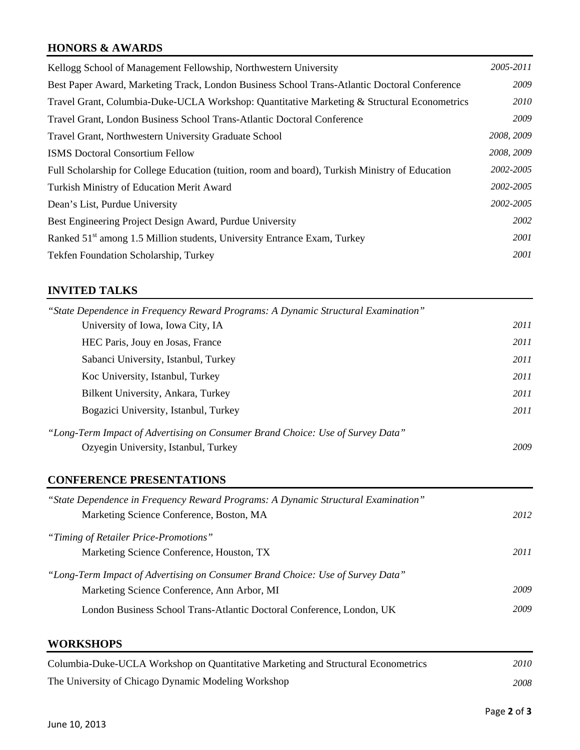# **HONORS & AWARDS**

| Kellogg School of Management Fellowship, Northwestern University                                | 2005-2011   |
|-------------------------------------------------------------------------------------------------|-------------|
| Best Paper Award, Marketing Track, London Business School Trans-Atlantic Doctoral Conference    | 2009        |
| Travel Grant, Columbia-Duke-UCLA Workshop: Quantitative Marketing & Structural Econometrics     | <i>2010</i> |
| Travel Grant, London Business School Trans-Atlantic Doctoral Conference                         | <i>2009</i> |
| Travel Grant, Northwestern University Graduate School                                           | 2008, 2009  |
| <b>ISMS</b> Doctoral Consortium Fellow                                                          | 2008, 2009  |
| Full Scholarship for College Education (tuition, room and board), Turkish Ministry of Education | 2002-2005   |
| Turkish Ministry of Education Merit Award                                                       | 2002-2005   |
| Dean's List, Purdue University                                                                  | 2002-2005   |
| Best Engineering Project Design Award, Purdue University                                        | 2002        |
| Ranked 51 <sup>st</sup> among 1.5 Million students, University Entrance Exam, Turkey            | <i>2001</i> |
| Tekfen Foundation Scholarship, Turkey                                                           | 2001        |

# **INVITED TALKS**

| "State Dependence in Frequency Reward Programs: A Dynamic Structural Examination" |      |
|-----------------------------------------------------------------------------------|------|
| University of Iowa, Iowa City, IA                                                 | 2011 |
| HEC Paris, Jouy en Josas, France                                                  | 2011 |
| Sabanci University, Istanbul, Turkey                                              | 2011 |
| Koc University, Istanbul, Turkey                                                  | 2011 |
| Bilkent University, Ankara, Turkey                                                | 2011 |
| Bogazici University, Istanbul, Turkey                                             | 2011 |
| "Long-Term Impact of Advertising on Consumer Brand Choice: Use of Survey Data"    |      |
| Ozyegin University, Istanbul, Turkey                                              | 2009 |

## **CONFERENCE PRESENTATIONS**

| 2012 |
|------|
|      |
| 2011 |
|      |
| 2009 |
| 2009 |
|      |

## **WORKSHOPS**

| Columbia-Duke-UCLA Workshop on Quantitative Marketing and Structural Econometrics | 2010- |
|-----------------------------------------------------------------------------------|-------|
| The University of Chicago Dynamic Modeling Workshop                               | 2008- |